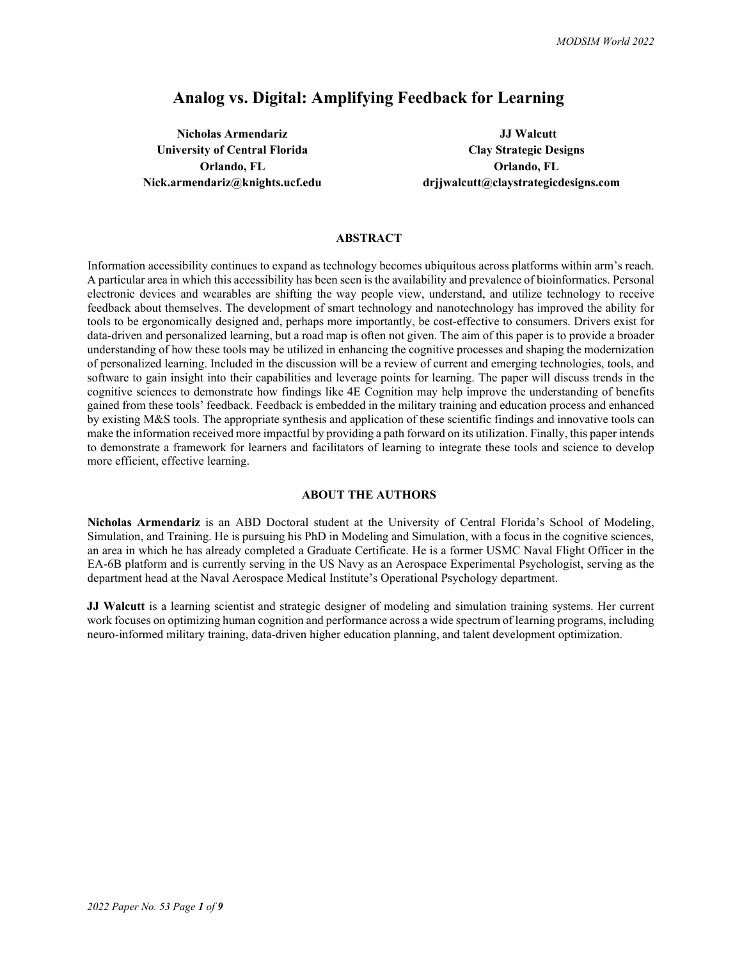# **Analog vs. Digital: Amplifying Feedback for Learning**

**Nicholas Armendariz JJ Walcutt JJ** Walcutt **University of Central Florida Clay Strategic Designs**

**Orlando, FL Orlando, FL Nick.armendariz@knights.ucf.edu drjjwalcutt@claystrategicdesigns.com**

## **ABSTRACT**

Information accessibility continues to expand as technology becomes ubiquitous across platforms within arm's reach. A particular area in which this accessibility has been seen is the availability and prevalence of bioinformatics. Personal electronic devices and wearables are shifting the way people view, understand, and utilize technology to receive feedback about themselves. The development of smart technology and nanotechnology has improved the ability for tools to be ergonomically designed and, perhaps more importantly, be cost-effective to consumers. Drivers exist for data-driven and personalized learning, but a road map is often not given. The aim of this paper is to provide a broader understanding of how these tools may be utilized in enhancing the cognitive processes and shaping the modernization of personalized learning. Included in the discussion will be a review of current and emerging technologies, tools, and software to gain insight into their capabilities and leverage points for learning. The paper will discuss trends in the cognitive sciences to demonstrate how findings like 4E Cognition may help improve the understanding of benefits gained from these tools' feedback. Feedback is embedded in the military training and education process and enhanced by existing M&S tools. The appropriate synthesis and application of these scientific findings and innovative tools can make the information received more impactful by providing a path forward on its utilization. Finally, this paper intends to demonstrate a framework for learners and facilitators of learning to integrate these tools and science to develop more efficient, effective learning.

## **ABOUT THE AUTHORS**

**Nicholas Armendariz** is an ABD Doctoral student at the University of Central Florida's School of Modeling, Simulation, and Training. He is pursuing his PhD in Modeling and Simulation, with a focus in the cognitive sciences, an area in which he has already completed a Graduate Certificate. He is a former USMC Naval Flight Officer in the EA-6B platform and is currently serving in the US Navy as an Aerospace Experimental Psychologist, serving as the department head at the Naval Aerospace Medical Institute's Operational Psychology department.

**JJ Walcutt** is a learning scientist and strategic designer of modeling and simulation training systems. Her current work focuses on optimizing human cognition and performance across a wide spectrum of learning programs, including neuro-informed military training, data-driven higher education planning, and talent development optimization.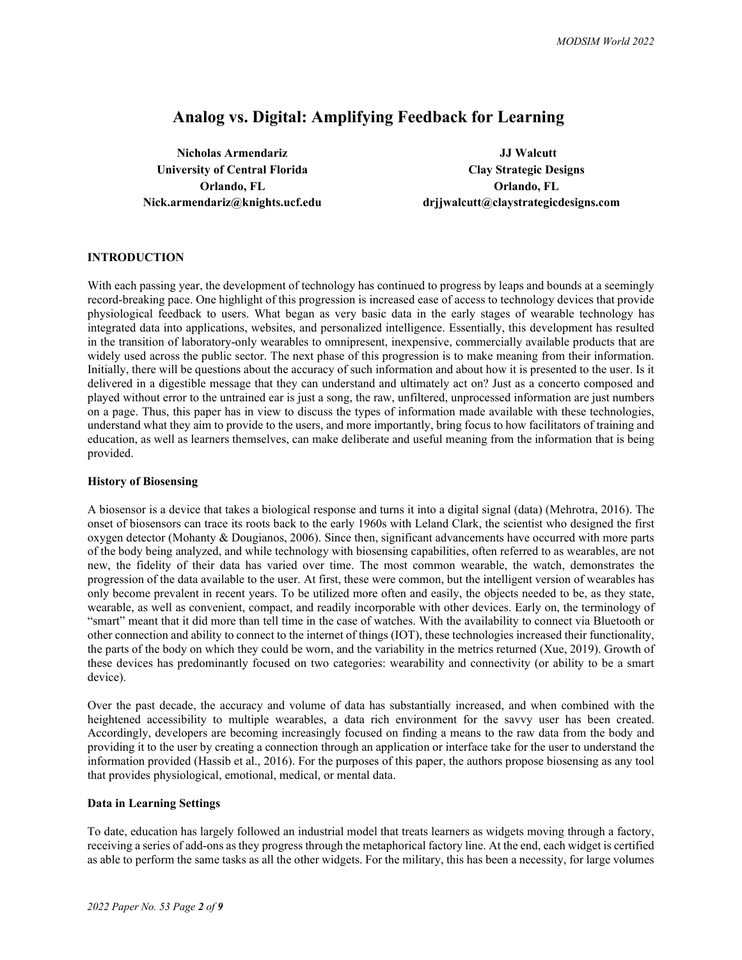# **Analog vs. Digital: Amplifying Feedback for Learning**

**Nicholas Armendariz JJ Walcutt University of Central Florida Clay Strategic Designs**

**Orlando, FL Orlando, FL Nick.armendariz@knights.ucf.edu drjjwalcutt@claystrategicdesigns.com**

# **INTRODUCTION**

With each passing year, the development of technology has continued to progress by leaps and bounds at a seemingly record-breaking pace. One highlight of this progression is increased ease of access to technology devices that provide physiological feedback to users. What began as very basic data in the early stages of wearable technology has integrated data into applications, websites, and personalized intelligence. Essentially, this development has resulted in the transition of laboratory-only wearables to omnipresent, inexpensive, commercially available products that are widely used across the public sector. The next phase of this progression is to make meaning from their information. Initially, there will be questions about the accuracy of such information and about how it is presented to the user. Is it delivered in a digestible message that they can understand and ultimately act on? Just as a concerto composed and played without error to the untrained ear is just a song, the raw, unfiltered, unprocessed information are just numbers on a page. Thus, this paper has in view to discuss the types of information made available with these technologies, understand what they aim to provide to the users, and more importantly, bring focus to how facilitators of training and education, as well as learners themselves, can make deliberate and useful meaning from the information that is being provided.

## **History of Biosensing**

A biosensor is a device that takes a biological response and turns it into a digital signal (data) (Mehrotra, 2016). The onset of biosensors can trace its roots back to the early 1960s with Leland Clark, the scientist who designed the first oxygen detector (Mohanty & Dougianos, 2006). Since then, significant advancements have occurred with more parts of the body being analyzed, and while technology with biosensing capabilities, often referred to as wearables, are not new, the fidelity of their data has varied over time. The most common wearable, the watch, demonstrates the progression of the data available to the user. At first, these were common, but the intelligent version of wearables has only become prevalent in recent years. To be utilized more often and easily, the objects needed to be, as they state, wearable, as well as convenient, compact, and readily incorporable with other devices. Early on, the terminology of "smart" meant that it did more than tell time in the case of watches. With the availability to connect via Bluetooth or other connection and ability to connect to the internet of things (IOT), these technologies increased their functionality, the parts of the body on which they could be worn, and the variability in the metrics returned (Xue, 2019). Growth of these devices has predominantly focused on two categories: wearability and connectivity (or ability to be a smart device).

Over the past decade, the accuracy and volume of data has substantially increased, and when combined with the heightened accessibility to multiple wearables, a data rich environment for the savvy user has been created. Accordingly, developers are becoming increasingly focused on finding a means to the raw data from the body and providing it to the user by creating a connection through an application or interface take for the user to understand the information provided (Hassib et al., 2016). For the purposes of this paper, the authors propose biosensing as any tool that provides physiological, emotional, medical, or mental data.

## **Data in Learning Settings**

To date, education has largely followed an industrial model that treats learners as widgets moving through a factory, receiving a series of add-ons as they progress through the metaphorical factory line. At the end, each widget is certified as able to perform the same tasks as all the other widgets. For the military, this has been a necessity, for large volumes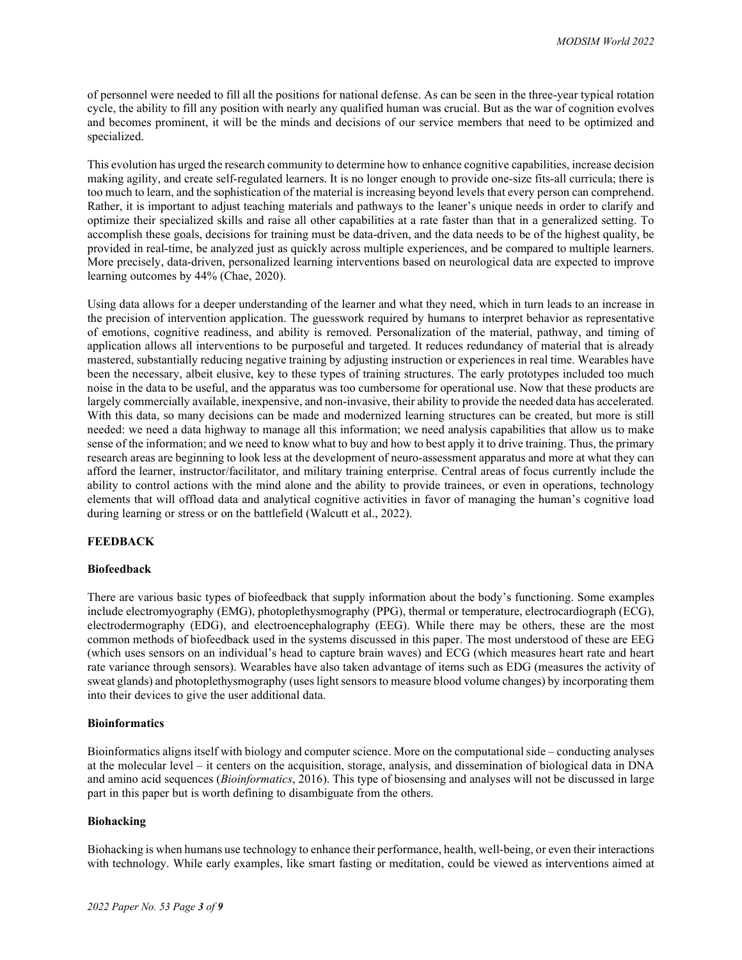of personnel were needed to fill all the positions for national defense. As can be seen in the three-year typical rotation cycle, the ability to fill any position with nearly any qualified human was crucial. But as the war of cognition evolves and becomes prominent, it will be the minds and decisions of our service members that need to be optimized and specialized.

This evolution has urged the research community to determine how to enhance cognitive capabilities, increase decision making agility, and create self-regulated learners. It is no longer enough to provide one-size fits-all curricula; there is too much to learn, and the sophistication of the material is increasing beyond levels that every person can comprehend. Rather, it is important to adjust teaching materials and pathways to the leaner's unique needs in order to clarify and optimize their specialized skills and raise all other capabilities at a rate faster than that in a generalized setting. To accomplish these goals, decisions for training must be data-driven, and the data needs to be of the highest quality, be provided in real-time, be analyzed just as quickly across multiple experiences, and be compared to multiple learners. More precisely, data-driven, personalized learning interventions based on neurological data are expected to improve learning outcomes by 44% (Chae, 2020).

Using data allows for a deeper understanding of the learner and what they need, which in turn leads to an increase in the precision of intervention application. The guesswork required by humans to interpret behavior as representative of emotions, cognitive readiness, and ability is removed. Personalization of the material, pathway, and timing of application allows all interventions to be purposeful and targeted. It reduces redundancy of material that is already mastered, substantially reducing negative training by adjusting instruction or experiences in real time. Wearables have been the necessary, albeit elusive, key to these types of training structures. The early prototypes included too much noise in the data to be useful, and the apparatus was too cumbersome for operational use. Now that these products are largely commercially available, inexpensive, and non-invasive, their ability to provide the needed data has accelerated. With this data, so many decisions can be made and modernized learning structures can be created, but more is still needed: we need a data highway to manage all this information; we need analysis capabilities that allow us to make sense of the information; and we need to know what to buy and how to best apply it to drive training. Thus, the primary research areas are beginning to look less at the development of neuro-assessment apparatus and more at what they can afford the learner, instructor/facilitator, and military training enterprise. Central areas of focus currently include the ability to control actions with the mind alone and the ability to provide trainees, or even in operations, technology elements that will offload data and analytical cognitive activities in favor of managing the human's cognitive load during learning or stress or on the battlefield (Walcutt et al., 2022).

# **FEEDBACK**

## **Biofeedback**

There are various basic types of biofeedback that supply information about the body's functioning. Some examples include electromyography (EMG), photoplethysmography (PPG), thermal or temperature, electrocardiograph (ECG), electrodermography (EDG), and electroencephalography (EEG). While there may be others, these are the most common methods of biofeedback used in the systems discussed in this paper. The most understood of these are EEG (which uses sensors on an individual's head to capture brain waves) and ECG (which measures heart rate and heart rate variance through sensors). Wearables have also taken advantage of items such as EDG (measures the activity of sweat glands) and photoplethysmography (uses light sensors to measure blood volume changes) by incorporating them into their devices to give the user additional data.

## **Bioinformatics**

Bioinformatics aligns itself with biology and computer science. More on the computational side – conducting analyses at the molecular level – it centers on the acquisition, storage, analysis, and dissemination of biological data in DNA and amino acid sequences (*Bioinformatics*, 2016). This type of biosensing and analyses will not be discussed in large part in this paper but is worth defining to disambiguate from the others.

## **Biohacking**

Biohacking is when humans use technology to enhance their performance, health, well-being, or even their interactions with technology. While early examples, like smart fasting or meditation, could be viewed as interventions aimed at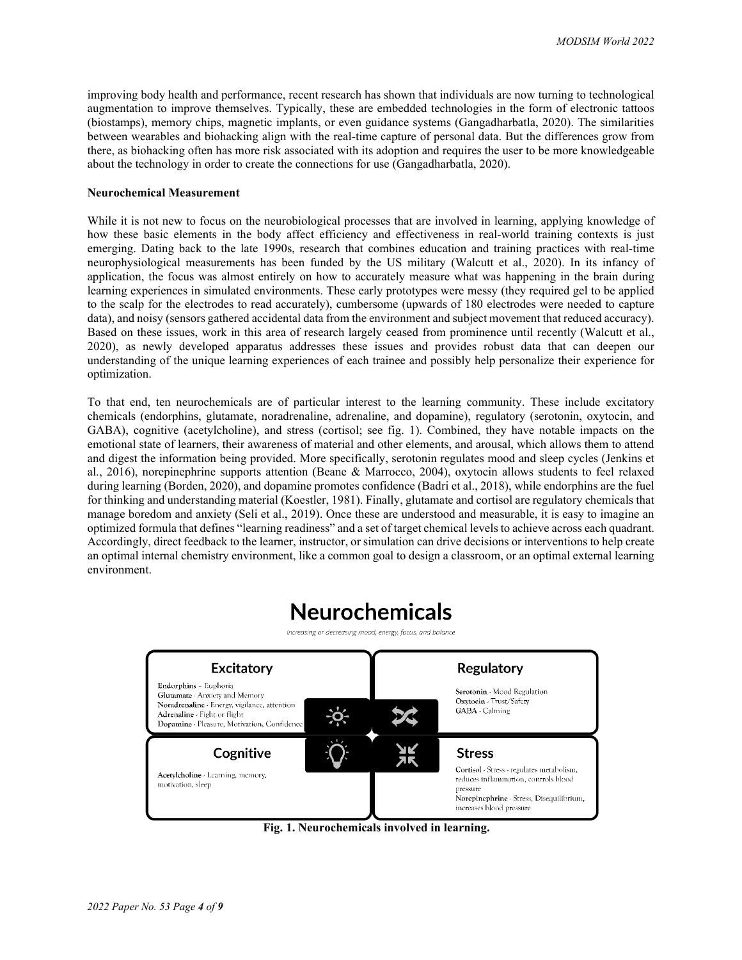improving body health and performance, recent research has shown that individuals are now turning to technological augmentation to improve themselves. Typically, these are embedded technologies in the form of electronic tattoos (biostamps), memory chips, magnetic implants, or even guidance systems (Gangadharbatla, 2020). The similarities between wearables and biohacking align with the real-time capture of personal data. But the differences grow from there, as biohacking often has more risk associated with its adoption and requires the user to be more knowledgeable about the technology in order to create the connections for use (Gangadharbatla, 2020).

## **Neurochemical Measurement**

While it is not new to focus on the neurobiological processes that are involved in learning, applying knowledge of how these basic elements in the body affect efficiency and effectiveness in real-world training contexts is just emerging. Dating back to the late 1990s, research that combines education and training practices with real-time neurophysiological measurements has been funded by the US military (Walcutt et al., 2020). In its infancy of application, the focus was almost entirely on how to accurately measure what was happening in the brain during learning experiences in simulated environments. These early prototypes were messy (they required gel to be applied to the scalp for the electrodes to read accurately), cumbersome (upwards of 180 electrodes were needed to capture data), and noisy (sensors gathered accidental data from the environment and subject movement that reduced accuracy). Based on these issues, work in this area of research largely ceased from prominence until recently (Walcutt et al., 2020), as newly developed apparatus addresses these issues and provides robust data that can deepen our understanding of the unique learning experiences of each trainee and possibly help personalize their experience for optimization.

To that end, ten neurochemicals are of particular interest to the learning community. These include excitatory chemicals (endorphins, glutamate, noradrenaline, adrenaline, and dopamine), regulatory (serotonin, oxytocin, and GABA), cognitive (acetylcholine), and stress (cortisol; see fig. 1). Combined, they have notable impacts on the emotional state of learners, their awareness of material and other elements, and arousal, which allows them to attend and digest the information being provided. More specifically, serotonin regulates mood and sleep cycles (Jenkins et al., 2016), norepinephrine supports attention (Beane & Marrocco, 2004), oxytocin allows students to feel relaxed during learning (Borden, 2020), and dopamine promotes confidence (Badri et al., 2018), while endorphins are the fuel for thinking and understanding material (Koestler, 1981). Finally, glutamate and cortisol are regulatory chemicals that manage boredom and anxiety (Seli et al., 2019). Once these are understood and measurable, it is easy to imagine an optimized formula that defines "learning readiness" and a set of target chemical levels to achieve across each quadrant. Accordingly, direct feedback to the learner, instructor, or simulation can drive decisions or interventions to help create an optimal internal chemistry environment, like a common goal to design a classroom, or an optimal external learning environment.

# **Neurochemicals**

Increasing or decreasing mood, energy, focus, and balance



**Fig. 1. Neurochemicals involved in learning.**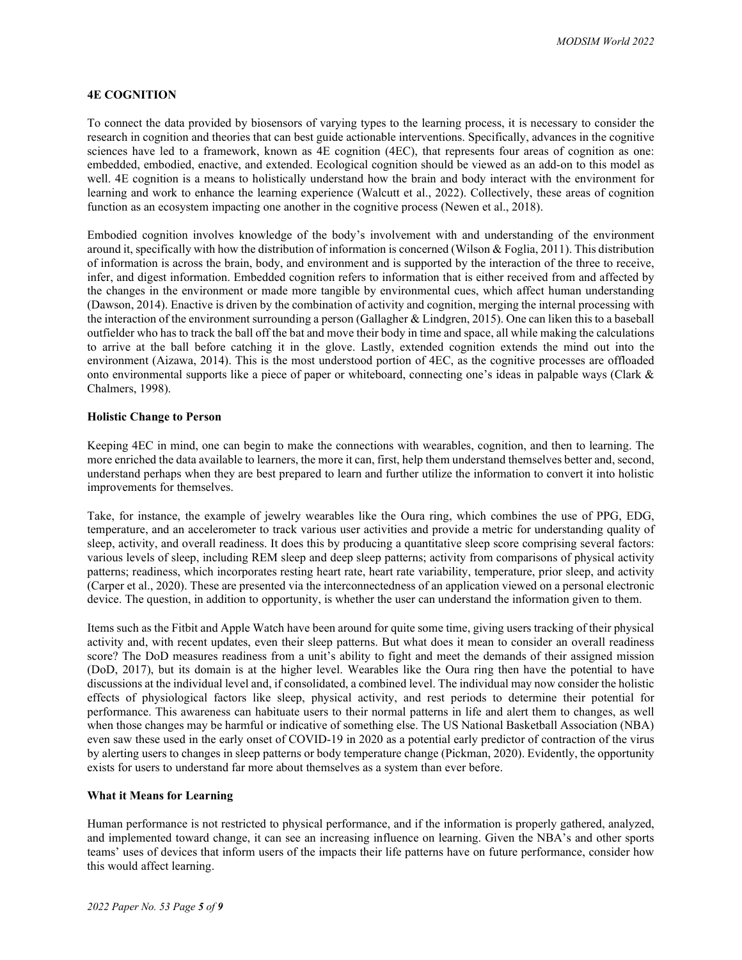# **4E COGNITION**

To connect the data provided by biosensors of varying types to the learning process, it is necessary to consider the research in cognition and theories that can best guide actionable interventions. Specifically, advances in the cognitive sciences have led to a framework, known as 4E cognition (4EC), that represents four areas of cognition as one: embedded, embodied, enactive, and extended. Ecological cognition should be viewed as an add-on to this model as well. 4E cognition is a means to holistically understand how the brain and body interact with the environment for learning and work to enhance the learning experience (Walcutt et al., 2022). Collectively, these areas of cognition function as an ecosystem impacting one another in the cognitive process (Newen et al., 2018).

Embodied cognition involves knowledge of the body's involvement with and understanding of the environment around it, specifically with how the distribution of information is concerned (Wilson & Foglia, 2011). This distribution of information is across the brain, body, and environment and is supported by the interaction of the three to receive, infer, and digest information. Embedded cognition refers to information that is either received from and affected by the changes in the environment or made more tangible by environmental cues, which affect human understanding (Dawson, 2014). Enactive is driven by the combination of activity and cognition, merging the internal processing with the interaction of the environment surrounding a person (Gallagher & Lindgren, 2015). One can liken this to a baseball outfielder who has to track the ball off the bat and move their body in time and space, all while making the calculations to arrive at the ball before catching it in the glove. Lastly, extended cognition extends the mind out into the environment (Aizawa, 2014). This is the most understood portion of 4EC, as the cognitive processes are offloaded onto environmental supports like a piece of paper or whiteboard, connecting one's ideas in palpable ways (Clark & Chalmers, 1998).

## **Holistic Change to Person**

Keeping 4EC in mind, one can begin to make the connections with wearables, cognition, and then to learning. The more enriched the data available to learners, the more it can, first, help them understand themselves better and, second, understand perhaps when they are best prepared to learn and further utilize the information to convert it into holistic improvements for themselves.

Take, for instance, the example of jewelry wearables like the Oura ring, which combines the use of PPG, EDG, temperature, and an accelerometer to track various user activities and provide a metric for understanding quality of sleep, activity, and overall readiness. It does this by producing a quantitative sleep score comprising several factors: various levels of sleep, including REM sleep and deep sleep patterns; activity from comparisons of physical activity patterns; readiness, which incorporates resting heart rate, heart rate variability, temperature, prior sleep, and activity (Carper et al., 2020). These are presented via the interconnectedness of an application viewed on a personal electronic device. The question, in addition to opportunity, is whether the user can understand the information given to them.

Items such as the Fitbit and Apple Watch have been around for quite some time, giving users tracking of their physical activity and, with recent updates, even their sleep patterns. But what does it mean to consider an overall readiness score? The DoD measures readiness from a unit's ability to fight and meet the demands of their assigned mission (DoD, 2017), but its domain is at the higher level. Wearables like the Oura ring then have the potential to have discussions at the individual level and, if consolidated, a combined level. The individual may now consider the holistic effects of physiological factors like sleep, physical activity, and rest periods to determine their potential for performance. This awareness can habituate users to their normal patterns in life and alert them to changes, as well when those changes may be harmful or indicative of something else. The US National Basketball Association (NBA) even saw these used in the early onset of COVID-19 in 2020 as a potential early predictor of contraction of the virus by alerting users to changes in sleep patterns or body temperature change (Pickman, 2020). Evidently, the opportunity exists for users to understand far more about themselves as a system than ever before.

## **What it Means for Learning**

Human performance is not restricted to physical performance, and if the information is properly gathered, analyzed, and implemented toward change, it can see an increasing influence on learning. Given the NBA's and other sports teams' uses of devices that inform users of the impacts their life patterns have on future performance, consider how this would affect learning.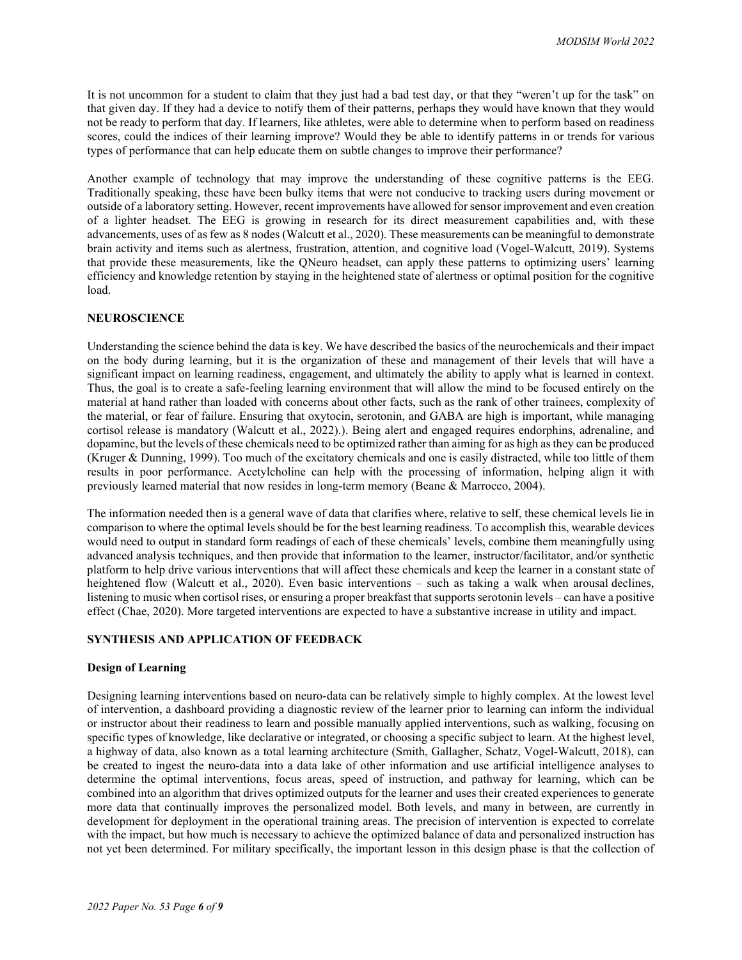It is not uncommon for a student to claim that they just had a bad test day, or that they "weren't up for the task" on that given day. If they had a device to notify them of their patterns, perhaps they would have known that they would not be ready to perform that day. If learners, like athletes, were able to determine when to perform based on readiness scores, could the indices of their learning improve? Would they be able to identify patterns in or trends for various types of performance that can help educate them on subtle changes to improve their performance?

Another example of technology that may improve the understanding of these cognitive patterns is the EEG. Traditionally speaking, these have been bulky items that were not conducive to tracking users during movement or outside of a laboratory setting. However, recent improvements have allowed for sensor improvement and even creation of a lighter headset. The EEG is growing in research for its direct measurement capabilities and, with these advancements, uses of as few as 8 nodes (Walcutt et al., 2020). These measurements can be meaningful to demonstrate brain activity and items such as alertness, frustration, attention, and cognitive load (Vogel-Walcutt, 2019). Systems that provide these measurements, like the QNeuro headset, can apply these patterns to optimizing users' learning efficiency and knowledge retention by staying in the heightened state of alertness or optimal position for the cognitive load.

## **NEUROSCIENCE**

Understanding the science behind the data is key. We have described the basics of the neurochemicals and their impact on the body during learning, but it is the organization of these and management of their levels that will have a significant impact on learning readiness, engagement, and ultimately the ability to apply what is learned in context. Thus, the goal is to create a safe-feeling learning environment that will allow the mind to be focused entirely on the material at hand rather than loaded with concerns about other facts, such as the rank of other trainees, complexity of the material, or fear of failure. Ensuring that oxytocin, serotonin, and GABA are high is important, while managing cortisol release is mandatory (Walcutt et al., 2022).). Being alert and engaged requires endorphins, adrenaline, and dopamine, but the levels of these chemicals need to be optimized rather than aiming for as high as they can be produced (Kruger & Dunning, 1999). Too much of the excitatory chemicals and one is easily distracted, while too little of them results in poor performance. Acetylcholine can help with the processing of information, helping align it with previously learned material that now resides in long-term memory (Beane & Marrocco, 2004).

The information needed then is a general wave of data that clarifies where, relative to self, these chemical levels lie in comparison to where the optimal levels should be for the best learning readiness. To accomplish this, wearable devices would need to output in standard form readings of each of these chemicals' levels, combine them meaningfully using advanced analysis techniques, and then provide that information to the learner, instructor/facilitator, and/or synthetic platform to help drive various interventions that will affect these chemicals and keep the learner in a constant state of heightened flow (Walcutt et al., 2020). Even basic interventions – such as taking a walk when arousal declines, listening to music when cortisol rises, or ensuring a proper breakfast that supports serotonin levels – can have a positive effect (Chae, 2020). More targeted interventions are expected to have a substantive increase in utility and impact.

# **SYNTHESIS AND APPLICATION OF FEEDBACK**

## **Design of Learning**

Designing learning interventions based on neuro-data can be relatively simple to highly complex. At the lowest level of intervention, a dashboard providing a diagnostic review of the learner prior to learning can inform the individual or instructor about their readiness to learn and possible manually applied interventions, such as walking, focusing on specific types of knowledge, like declarative or integrated, or choosing a specific subject to learn. At the highest level, a highway of data, also known as a total learning architecture (Smith, Gallagher, Schatz, Vogel-Walcutt, 2018), can be created to ingest the neuro-data into a data lake of other information and use artificial intelligence analyses to determine the optimal interventions, focus areas, speed of instruction, and pathway for learning, which can be combined into an algorithm that drives optimized outputs for the learner and uses their created experiences to generate more data that continually improves the personalized model. Both levels, and many in between, are currently in development for deployment in the operational training areas. The precision of intervention is expected to correlate with the impact, but how much is necessary to achieve the optimized balance of data and personalized instruction has not yet been determined. For military specifically, the important lesson in this design phase is that the collection of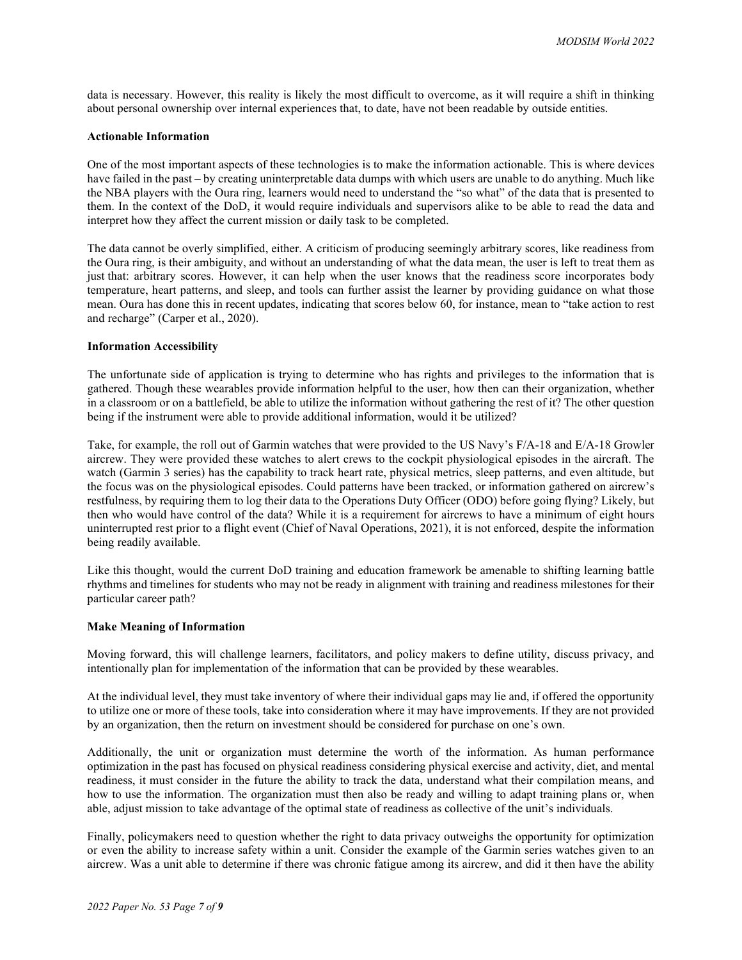data is necessary. However, this reality is likely the most difficult to overcome, as it will require a shift in thinking about personal ownership over internal experiences that, to date, have not been readable by outside entities.

## **Actionable Information**

One of the most important aspects of these technologies is to make the information actionable. This is where devices have failed in the past – by creating uninterpretable data dumps with which users are unable to do anything. Much like the NBA players with the Oura ring, learners would need to understand the "so what" of the data that is presented to them. In the context of the DoD, it would require individuals and supervisors alike to be able to read the data and interpret how they affect the current mission or daily task to be completed.

The data cannot be overly simplified, either. A criticism of producing seemingly arbitrary scores, like readiness from the Oura ring, is their ambiguity, and without an understanding of what the data mean, the user is left to treat them as just that: arbitrary scores. However, it can help when the user knows that the readiness score incorporates body temperature, heart patterns, and sleep, and tools can further assist the learner by providing guidance on what those mean. Oura has done this in recent updates, indicating that scores below 60, for instance, mean to "take action to rest and recharge" (Carper et al., 2020).

## **Information Accessibility**

The unfortunate side of application is trying to determine who has rights and privileges to the information that is gathered. Though these wearables provide information helpful to the user, how then can their organization, whether in a classroom or on a battlefield, be able to utilize the information without gathering the rest of it? The other question being if the instrument were able to provide additional information, would it be utilized?

Take, for example, the roll out of Garmin watches that were provided to the US Navy's F/A-18 and E/A-18 Growler aircrew. They were provided these watches to alert crews to the cockpit physiological episodes in the aircraft. The watch (Garmin 3 series) has the capability to track heart rate, physical metrics, sleep patterns, and even altitude, but the focus was on the physiological episodes. Could patterns have been tracked, or information gathered on aircrew's restfulness, by requiring them to log their data to the Operations Duty Officer (ODO) before going flying? Likely, but then who would have control of the data? While it is a requirement for aircrews to have a minimum of eight hours uninterrupted rest prior to a flight event (Chief of Naval Operations, 2021), it is not enforced, despite the information being readily available.

Like this thought, would the current DoD training and education framework be amenable to shifting learning battle rhythms and timelines for students who may not be ready in alignment with training and readiness milestones for their particular career path?

## **Make Meaning of Information**

Moving forward, this will challenge learners, facilitators, and policy makers to define utility, discuss privacy, and intentionally plan for implementation of the information that can be provided by these wearables.

At the individual level, they must take inventory of where their individual gaps may lie and, if offered the opportunity to utilize one or more of these tools, take into consideration where it may have improvements. If they are not provided by an organization, then the return on investment should be considered for purchase on one's own.

Additionally, the unit or organization must determine the worth of the information. As human performance optimization in the past has focused on physical readiness considering physical exercise and activity, diet, and mental readiness, it must consider in the future the ability to track the data, understand what their compilation means, and how to use the information. The organization must then also be ready and willing to adapt training plans or, when able, adjust mission to take advantage of the optimal state of readiness as collective of the unit's individuals.

Finally, policymakers need to question whether the right to data privacy outweighs the opportunity for optimization or even the ability to increase safety within a unit. Consider the example of the Garmin series watches given to an aircrew. Was a unit able to determine if there was chronic fatigue among its aircrew, and did it then have the ability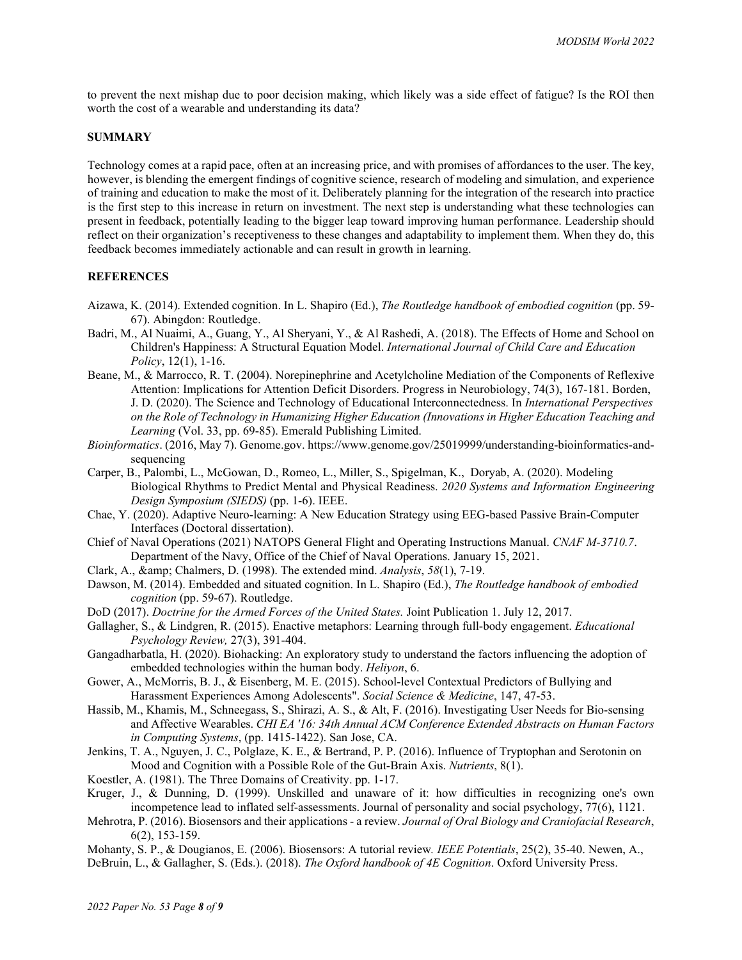to prevent the next mishap due to poor decision making, which likely was a side effect of fatigue? Is the ROI then worth the cost of a wearable and understanding its data?

#### **SUMMARY**

Technology comes at a rapid pace, often at an increasing price, and with promises of affordances to the user. The key, however, is blending the emergent findings of cognitive science, research of modeling and simulation, and experience of training and education to make the most of it. Deliberately planning for the integration of the research into practice is the first step to this increase in return on investment. The next step is understanding what these technologies can present in feedback, potentially leading to the bigger leap toward improving human performance. Leadership should reflect on their organization's receptiveness to these changes and adaptability to implement them. When they do, this feedback becomes immediately actionable and can result in growth in learning.

## **REFERENCES**

- Aizawa, K. (2014). Extended cognition. In L. Shapiro (Ed.), *The Routledge handbook of embodied cognition* (pp. 59- 67). Abingdon: Routledge.
- Badri, M., Al Nuaimi, A., Guang, Y., Al Sheryani, Y., & Al Rashedi, A. (2018). The Effects of Home and School on Children's Happiness: A Structural Equation Model. *International Journal of Child Care and Education Policy*, 12(1), 1-16.
- Beane, M., & Marrocco, R. T. (2004). Norepinephrine and Acetylcholine Mediation of the Components of Reflexive Attention: Implications for Attention Deficit Disorders. Progress in Neurobiology, 74(3), 167-181. Borden, J. D. (2020). The Science and Technology of Educational Interconnectedness. In *International Perspectives on the Role of Technology in Humanizing Higher Education (Innovations in Higher Education Teaching and Learning* (Vol. 33, pp. 69-85). Emerald Publishing Limited.
- *Bioinformatics*. (2016, May 7). Genome.gov. https://www.genome.gov/25019999/understanding-bioinformatics-andsequencing
- Carper, B., Palombi, L., McGowan, D., Romeo, L., Miller, S., Spigelman, K., Doryab, A. (2020). Modeling Biological Rhythms to Predict Mental and Physical Readiness. *2020 Systems and Information Engineering Design Symposium (SIEDS)* (pp. 1-6). IEEE.
- Chae, Y. (2020). Adaptive Neuro-learning: A New Education Strategy using EEG-based Passive Brain-Computer Interfaces (Doctoral dissertation).
- Chief of Naval Operations (2021) NATOPS General Flight and Operating Instructions Manual. *CNAF M-3710.7*. Department of the Navy, Office of the Chief of Naval Operations. January 15, 2021.
- Clark, A., & Chalmers, D. (1998). The extended mind. *Analysis*, *58*(1), 7-19.
- Dawson, M. (2014). Embedded and situated cognition. In L. Shapiro (Ed.), *The Routledge handbook of embodied cognition* (pp. 59-67). Routledge.
- DoD (2017). *Doctrine for the Armed Forces of the United States.* Joint Publication 1. July 12, 2017.
- Gallagher, S., & Lindgren, R. (2015). Enactive metaphors: Learning through full-body engagement. *Educational Psychology Review,* 27(3), 391-404.
- Gangadharbatla, H. (2020). Biohacking: An exploratory study to understand the factors influencing the adoption of embedded technologies within the human body. *Heliyon*, 6.
- Gower, A., McMorris, B. J., & Eisenberg, M. E. (2015). School-level Contextual Predictors of Bullying and Harassment Experiences Among Adolescents". *Social Science & Medicine*, 147, 47-53.
- Hassib, M., Khamis, M., Schneegass, S., Shirazi, A. S., & Alt, F. (2016). Investigating User Needs for Bio-sensing and Affective Wearables. *CHI EA '16: 34th Annual ACM Conference Extended Abstracts on Human Factors in Computing Systems*, (pp. 1415-1422). San Jose, CA.
- Jenkins, T. A., Nguyen, J. C., Polglaze, K. E., & Bertrand, P. P. (2016). Influence of Tryptophan and Serotonin on Mood and Cognition with a Possible Role of the Gut-Brain Axis. *Nutrients*, 8(1).

Koestler, A. (1981). The Three Domains of Creativity. pp. 1-17.

- Kruger, J., & Dunning, D. (1999). Unskilled and unaware of it: how difficulties in recognizing one's own incompetence lead to inflated self-assessments. Journal of personality and social psychology, 77(6), 1121.
- Mehrotra, P. (2016). Biosensors and their applications a review. *Journal of Oral Biology and Craniofacial Research*, 6(2), 153-159.
- Mohanty, S. P., & Dougianos, E. (2006). Biosensors: A tutorial review*. IEEE Potentials*, 25(2), 35-40. Newen, A., DeBruin, L., & Gallagher, S. (Eds.). (2018). *The Oxford handbook of 4E Cognition*. Oxford University Press.